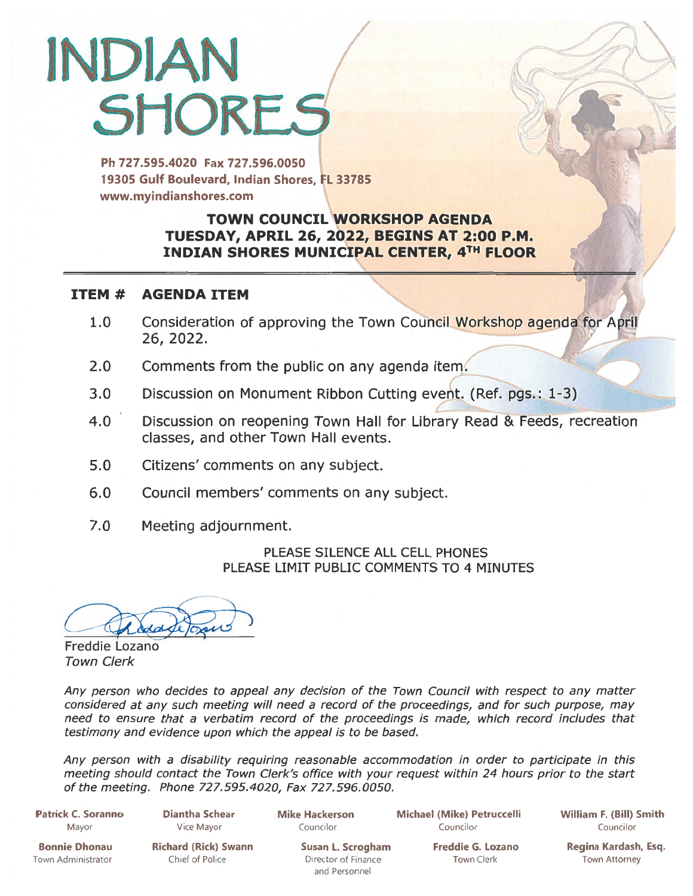# INDIAN **SHORES**

Ph 727.595.4020 Fax 727.596.0050 19305 Gulf Boulevard, Indian Shores, FL 33785 www.myindianshores.com

## TOWN COUNCIL WORKSHOP AGENDA TUESDAY, APRIL 26, 2022, BEGINS AT 2:00 P.M. INDIAN SHORES MUNICIPAL CENTER, 4TH FLOOR

#### ITEM # AGENDA ITEM

- 1.0 Consideration of approving the Town Council Workshop agenda for April 26, 2022.
- 2.0 Comments from the public on any agenda item.
- 3.0 Discussion on Monument Ribbon Cutting event. (Ref. pgs.: 1-3)
- 4.0 Discussion on reopening Town Hall for Library Read & Feeds, recreation classes, and other Town Hall events.
- 5.0 Citizens' comments on any subject.
- 6.0 Council members' comments on any subject.
- 7.0 Meeting adjournment.

PLEASE SILENCE ALL CELL PHONES PLEASE LIMIT PUBLIC COMMENTS TO 4 MINUTES

Freddie Lozano Town Clerk

Any person who decides to appeal any decision of the Town Council with respec<sup>t</sup> to any matter considered at any such meeting will need <sup>a</sup> record of the proceedings, and for such purpose, may need to ensure that <sup>a</sup> verbatim record of the proceedings is made, which record includes that testimony and evidence upon which the appeal is to be based.

Any person with <sup>a</sup> disability requiring reasonable accommodation in order to participate in this meeting should contact the Town Clerk's office with your reques<sup>t</sup> within <sup>24</sup> hours prior to the start of the meeting. Phone 727.595.4020, Fax 727.596.0050.

Patrick C. Soranno Diantha Schear Mike Hackerson Michael (Mike) Petruccelli William F. (Bill) Smith Mayor Vice Mayor Councilor Councilor Councilor

I,

Town Administrator **Chief of Police Chief of Police Director of Finance** Town Clerk Town Attorney

and Personnel

Bonnie Dhonau Richard (Rick) Swann Susan L. Scrogham Freddie G. Lozano Regina Kardash, Esq.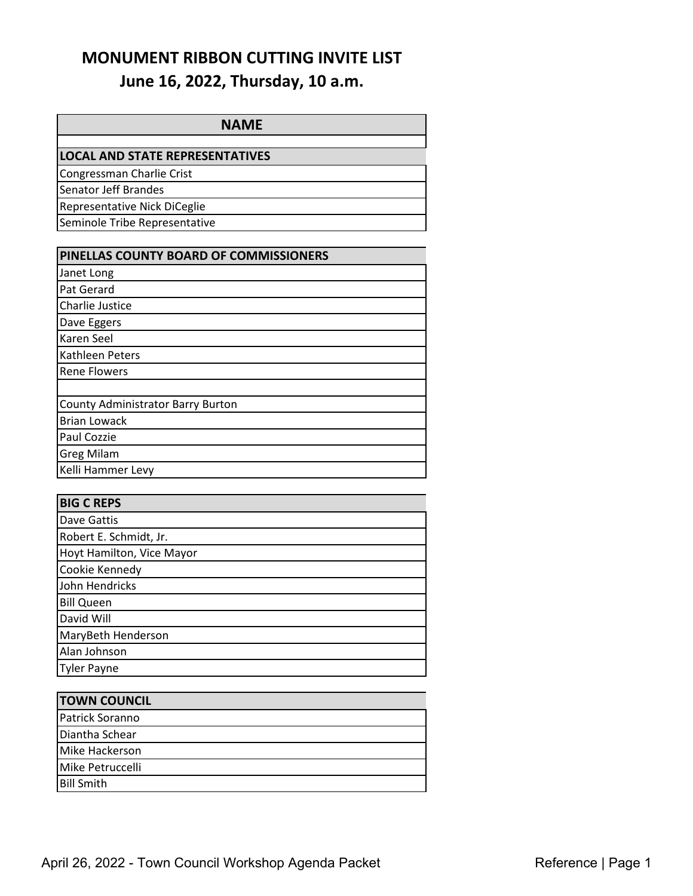## **MONUMENT RIBBON CUTTING INVITE LIST June 16, 2022, Thursday, 10 a.m.**

| <b>NAME</b>                            |
|----------------------------------------|
|                                        |
| <b>LOCAL AND STATE REPRESENTATIVES</b> |
| Congressman Charlie Crist              |
| Senator Jeff Brandes                   |
| Representative Nick DiCeglie           |
| Seminole Tribe Representative          |
|                                        |

| PINELLAS COUNTY BOARD OF COMMISSIONERS   |
|------------------------------------------|
| Janet Long                               |
| Pat Gerard                               |
| Charlie Justice                          |
| Dave Eggers                              |
| Karen Seel                               |
| Kathleen Peters                          |
| <b>Rene Flowers</b>                      |
|                                          |
| <b>County Administrator Barry Burton</b> |
| <b>Brian Lowack</b>                      |
| Paul Cozzie                              |
| <b>Greg Milam</b>                        |
| Kelli Hammer Levy                        |

| <b>BIG C REPS</b>         |
|---------------------------|
| Dave Gattis               |
| Robert E. Schmidt, Jr.    |
| Hoyt Hamilton, Vice Mayor |
| Cookie Kennedy            |
| John Hendricks            |
| <b>Bill Queen</b>         |
| David Will                |
| MaryBeth Henderson        |
| Alan Johnson              |
| Tyler Payne               |

| <b>TOWN COUNCIL</b> |  |
|---------------------|--|
| Patrick Soranno     |  |
| Diantha Schear      |  |
| Mike Hackerson      |  |
| Mike Petruccelli    |  |
| <b>Bill Smith</b>   |  |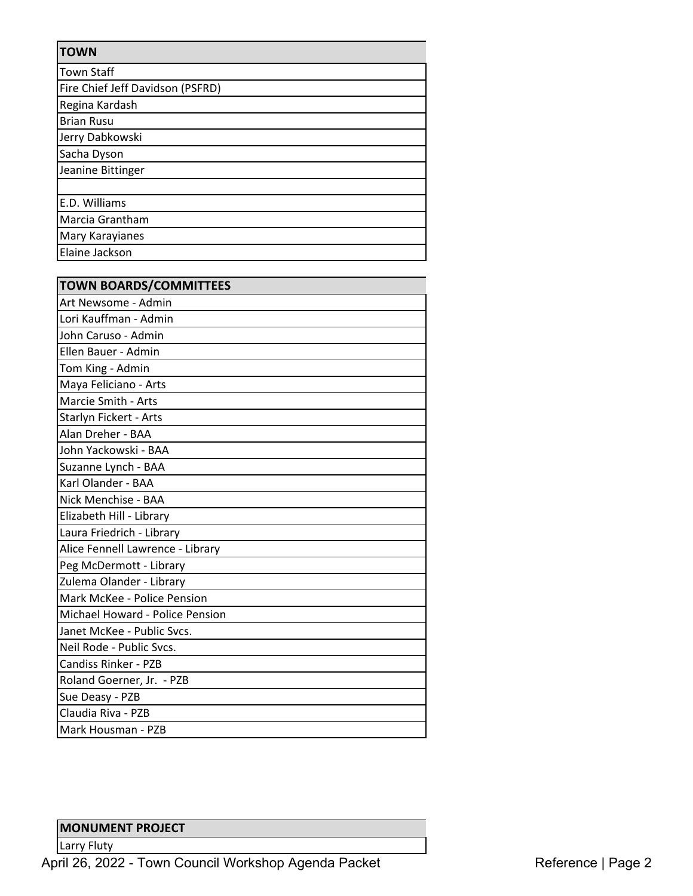| <b>TOWN</b>                      |
|----------------------------------|
| <b>Town Staff</b>                |
| Fire Chief Jeff Davidson (PSFRD) |
| Regina Kardash                   |
| <b>Brian Rusu</b>                |
| Jerry Dabkowski                  |
| Sacha Dyson                      |
| Jeanine Bittinger                |
|                                  |
| E.D. Williams                    |
| Marcia Grantham                  |
| Mary Karayianes                  |
| Elaine Jackson                   |

| <b>TOWN BOARDS/COMMITTEES</b>    |
|----------------------------------|
| Art Newsome - Admin              |
| Lori Kauffman - Admin            |
| John Caruso - Admin              |
| Ellen Bauer - Admin              |
| Tom King - Admin                 |
| Maya Feliciano - Arts            |
| Marcie Smith - Arts              |
| Starlyn Fickert - Arts           |
| Alan Dreher - BAA                |
| John Yackowski - BAA             |
| Suzanne Lynch - BAA              |
| Karl Olander - BAA               |
| Nick Menchise - BAA              |
| Elizabeth Hill - Library         |
| Laura Friedrich - Library        |
| Alice Fennell Lawrence - Library |
| Peg McDermott - Library          |
| Zulema Olander - Library         |
| Mark McKee - Police Pension      |
| Michael Howard - Police Pension  |
| Janet McKee - Public Svcs.       |
| Neil Rode - Public Svcs.         |
| <b>Candiss Rinker - PZB</b>      |
| Roland Goerner, Jr. - PZB        |
| Sue Deasy - PZB                  |
| Claudia Riva - PZB               |
| Mark Housman - PZB               |

## **MONUMENT PROJECT**

Larry Fluty